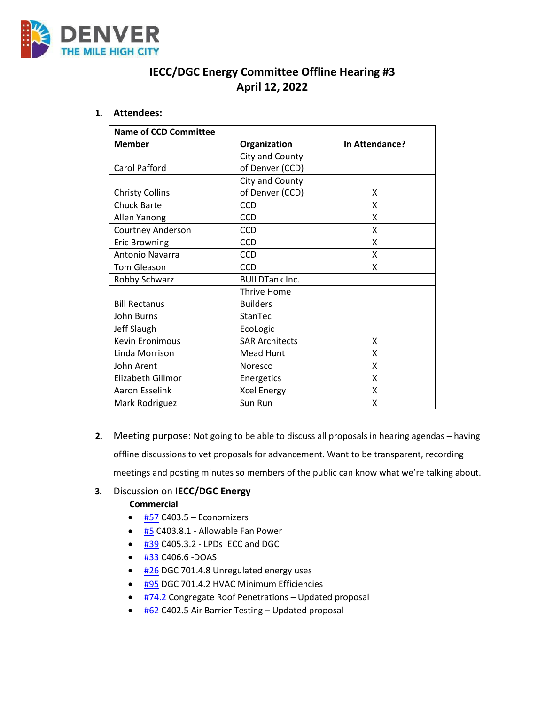

# **IECC/DGC Energy Committee Offline Hearing #3 April 12, 2022**

#### **1. Attendees:**

| <b>Name of CCD Committee</b> |                       |                |
|------------------------------|-----------------------|----------------|
| <b>Member</b>                | Organization          | In Attendance? |
|                              | City and County       |                |
| Carol Pafford                | of Denver (CCD)       |                |
|                              | City and County       |                |
| <b>Christy Collins</b>       | of Denver (CCD)       | x              |
| <b>Chuck Bartel</b>          | <b>CCD</b>            | X              |
| Allen Yanong                 | <b>CCD</b>            | X              |
| <b>Courtney Anderson</b>     | <b>CCD</b>            | x              |
| <b>Eric Browning</b>         | <b>CCD</b>            | x              |
| Antonio Navarra              | <b>CCD</b>            | x              |
| <b>Tom Gleason</b>           | <b>CCD</b>            | X              |
| Robby Schwarz                | <b>BUILDTank Inc.</b> |                |
|                              | <b>Thrive Home</b>    |                |
| <b>Bill Rectanus</b>         | <b>Builders</b>       |                |
| John Burns                   | StanTec               |                |
| Jeff Slaugh                  | EcoLogic              |                |
| <b>Kevin Eronimous</b>       | <b>SAR Architects</b> | x              |
| Linda Morrison               | <b>Mead Hunt</b>      | X              |
| John Arent                   | Noresco               | X              |
| Elizabeth Gillmor            | Energetics            | x              |
| <b>Aaron Esselink</b>        | <b>Xcel Energy</b>    | X              |
| Mark Rodriguez               | Sun Run               | Χ              |

**2.** Meeting purpose: Not going to be able to discuss all proposals in hearing agendas – having offline discussions to vet proposals for advancement. Want to be transparent, recording meetings and posting minutes so members of the public can know what we're talking about.

# **3.** Discussion on **IECC/DGC Energy**

**Commercial**

- $\bullet$  [#57](https://www.denvergov.org/files/assets/public/community-planning-and-development/documents/ds/building-codes/code-adoption/amendment-proposals/iecc/iecc_c403.5_com.pdf) C403.5 Economizers
- $\bullet$  [#5](https://www.denvergov.org/files/assets/public/community-planning-and-development/documents/ds/building-codes/code-adoption/amendment-proposals/iecc/iecc_c403.8.1.pdf) C403.8.1 Allowable Fan Power
- <sup>o</sup> [#39](https://www.denvergov.org/files/assets/public/community-planning-and-development/documents/ds/building-codes/code-adoption/amendment-proposals/iecc/iecc_c405.3.2_com.pdf) C405.3.2 LPDs IECC and DGC
- $\bullet$  [#33](https://www.denvergov.org/files/assets/public/community-planning-and-development/documents/ds/building-codes/code-adoption/amendment-proposals/iecc/iecc_c406.6_doas.pdf) C406.6 -DOAS
- [#26](https://www.denvergov.org/files/assets/public/community-planning-and-development/documents/ds/building-codes/code-adoption/amendment-proposals/dgc/dgc-701.4.7.pdf) DGC 701.4.8 Unregulated energy uses
- [#95](https://www.denvergov.org/files/assets/public/community-planning-and-development/documents/ds/building-codes/code-adoption/amendment-proposals/dgc/dgc_701.4.2.pdf) DGC 701.4.2 HVAC Minimum Efficiencies
- [#74.2](https://www.denvergov.org/files/assets/public/community-planning-and-development/documents/ds/building-codes/code-adoption/amendment-proposals/iecc/iecc_c405.13_com.pdf) Congregate Roof Penetrations Updated proposal
- [#62](https://www.denvergov.org/files/assets/public/community-planning-and-development/documents/ds/building-codes/code-adoption/amendment-proposals/iecc/62_c402.5_air-barrier-testing.pdf) C402.5 Air Barrier Testing Updated proposal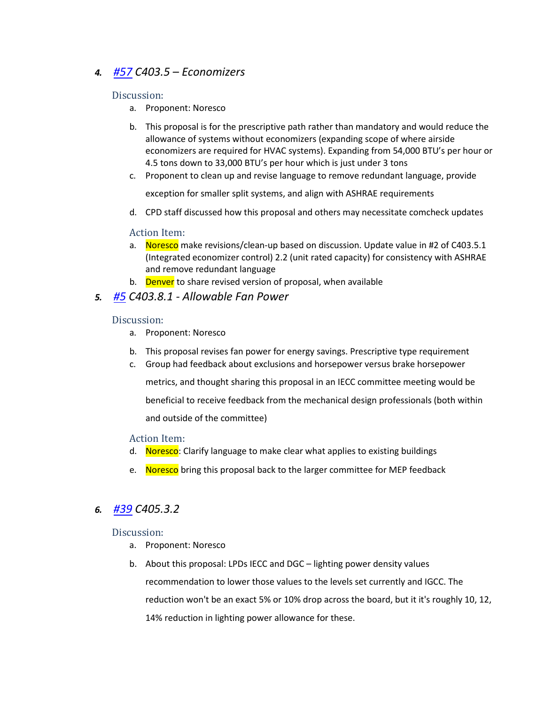# *4. [#57](https://www.denvergov.org/files/assets/public/community-planning-and-development/documents/ds/building-codes/code-adoption/amendment-proposals/iecc/iecc_c403.5_com.pdf) C403.5 – Economizers*

#### Discussion:

- a. Proponent: Noresco
- b. This proposal is for the prescriptive path rather than mandatory and would reduce the allowance of systems without economizers (expanding scope of where airside economizers are required for HVAC systems). Expanding from 54,000 BTU's per hour or 4.5 tons down to 33,000 BTU's per hour which is just under 3 tons
- c. Proponent to clean up and revise language to remove redundant language, provide

exception for smaller split systems, and align with ASHRAE requirements

d. CPD staff discussed how this proposal and others may necessitate comcheck updates

### Action Item:

- a. Noresco make revisions/clean-up based on discussion. Update value in #2 of C403.5.1 (Integrated economizer control) 2.2 (unit rated capacity) for consistency with ASHRAE and remove redundant language
- b. Denver to share revised version of proposal, when available

### *5. [#5](https://www.denvergov.org/files/assets/public/community-planning-and-development/documents/ds/building-codes/code-adoption/amendment-proposals/iecc/iecc_c403.8.1.pdf) C403.8.1 - Allowable Fan Power*

#### Discussion:

- a. Proponent: Noresco
- b. This proposal revises fan power for energy savings. Prescriptive type requirement
- c. Group had feedback about exclusions and horsepower versus brake horsepower

metrics, and thought sharing this proposal in an IECC committee meeting would be

beneficial to receive feedback from the mechanical design professionals (both within and outside of the committee)

Action Item:

- d. Noresco: Clarify language to make clear what applies to existing buildings
- e. Noresco bring this proposal back to the larger committee for MEP feedback

## *6. [#39](https://www.denvergov.org/files/assets/public/community-planning-and-development/documents/ds/building-codes/code-adoption/amendment-proposals/iecc/iecc_c405.3.2_com.pdf) C405.3.2*

#### Discussion:

- a. Proponent: Noresco
- b. About this proposal: LPDs IECC and DGC lighting power density values recommendation to lower those values to the levels set currently and IGCC. The reduction won't be an exact 5% or 10% drop across the board, but it it's roughly 10, 12, 14% reduction in lighting power allowance for these.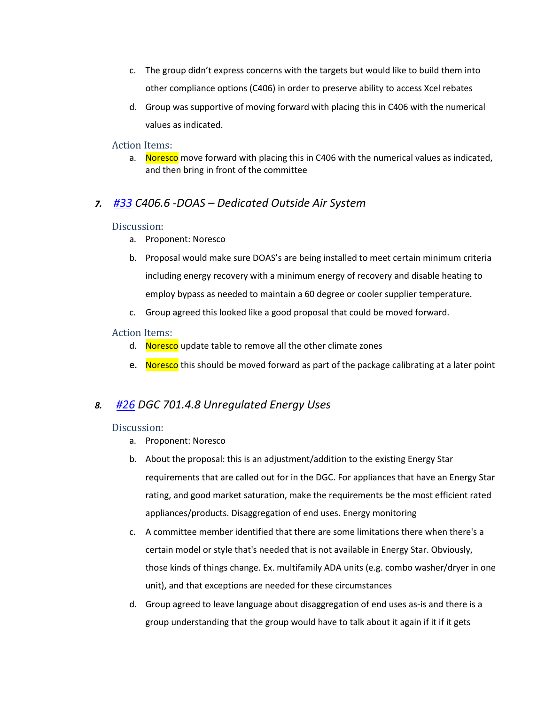- c. The group didn't express concerns with the targets but would like to build them into other compliance options (C406) in order to preserve ability to access Xcel rebates
- d. Group was supportive of moving forward with placing this in C406 with the numerical values as indicated.

#### Action Items:

a. Noresco move forward with placing this in C406 with the numerical values as indicated, and then bring in front of the committee

# *7. [#33](https://www.denvergov.org/files/assets/public/community-planning-and-development/documents/ds/building-codes/code-adoption/amendment-proposals/iecc/iecc_c406.6_doas.pdf) C406.6 -DOAS – Dedicated Outside Air System*

#### Discussion:

- a. Proponent: Noresco
- b. Proposal would make sure DOAS's are being installed to meet certain minimum criteria including energy recovery with a minimum energy of recovery and disable heating to employ bypass as needed to maintain a 60 degree or cooler supplier temperature.
- c. Group agreed this looked like a good proposal that could be moved forward.

#### Action Items:

- d. Noresco update table to remove all the other climate zones
- e. Noresco this should be moved forward as part of the package calibrating at a later point

## *8. [#26](https://www.denvergov.org/files/assets/public/community-planning-and-development/documents/ds/building-codes/code-adoption/amendment-proposals/dgc/dgc-701.4.7.pdf) DGC 701.4.8 Unregulated Energy Uses*

#### Discussion:

- a. Proponent: Noresco
- b. About the proposal: this is an adjustment/addition to the existing Energy Star requirements that are called out for in the DGC. For appliances that have an Energy Star rating, and good market saturation, make the requirements be the most efficient rated appliances/products. Disaggregation of end uses. Energy monitoring
- c. A committee member identified that there are some limitations there when there's a certain model or style that's needed that is not available in Energy Star. Obviously, those kinds of things change. Ex. multifamily ADA units (e.g. combo washer/dryer in one unit), and that exceptions are needed for these circumstances
- d. Group agreed to leave language about disaggregation of end uses as-is and there is a group understanding that the group would have to talk about it again if it if it gets